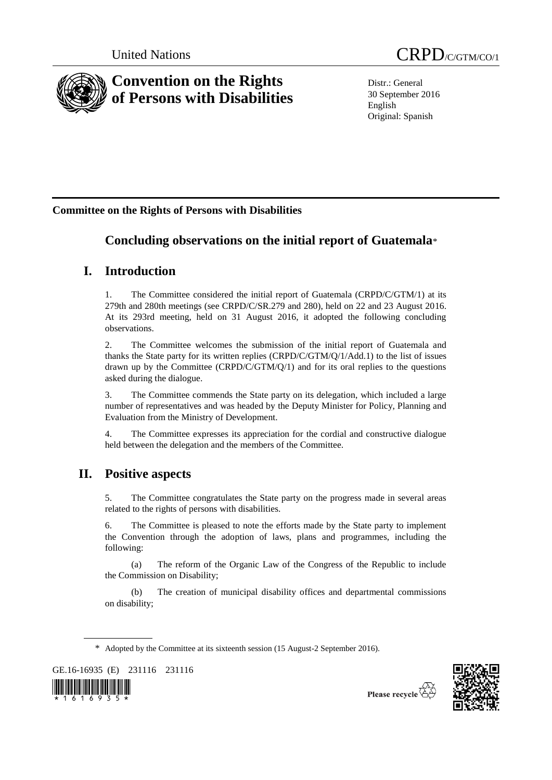

Distr.: General 30 September 2016 English Original: Spanish

# **Committee on the Rights of Persons with Disabilities**

# **Concluding observations on the initial report of Guatemala**\*

# **I. Introduction**

1. The Committee considered the initial report of Guatemala (CRPD/C/GTM/1) at its 279th and 280th meetings (see CRPD/C/SR.279 and 280), held on 22 and 23 August 2016. At its 293rd meeting, held on 31 August 2016, it adopted the following concluding observations.

2. The Committee welcomes the submission of the initial report of Guatemala and thanks the State party for its written replies (CRPD/C/GTM/Q/1/Add.1) to the list of issues drawn up by the Committee (CRPD/C/GTM/Q/1) and for its oral replies to the questions asked during the dialogue.

3. The Committee commends the State party on its delegation, which included a large number of representatives and was headed by the Deputy Minister for Policy, Planning and Evaluation from the Ministry of Development.

4. The Committee expresses its appreciation for the cordial and constructive dialogue held between the delegation and the members of the Committee.

# **II. Positive aspects**

5. The Committee congratulates the State party on the progress made in several areas related to the rights of persons with disabilities.

6. The Committee is pleased to note the efforts made by the State party to implement the Convention through the adoption of laws, plans and programmes, including the following:

(a) The reform of the Organic Law of the Congress of the Republic to include the Commission on Disability;

(b) The creation of municipal disability offices and departmental commissions on disability;

\* Adopted by the Committee at its sixteenth session (15 August-2 September 2016).

GE.16-16935 (E) 231116 231116



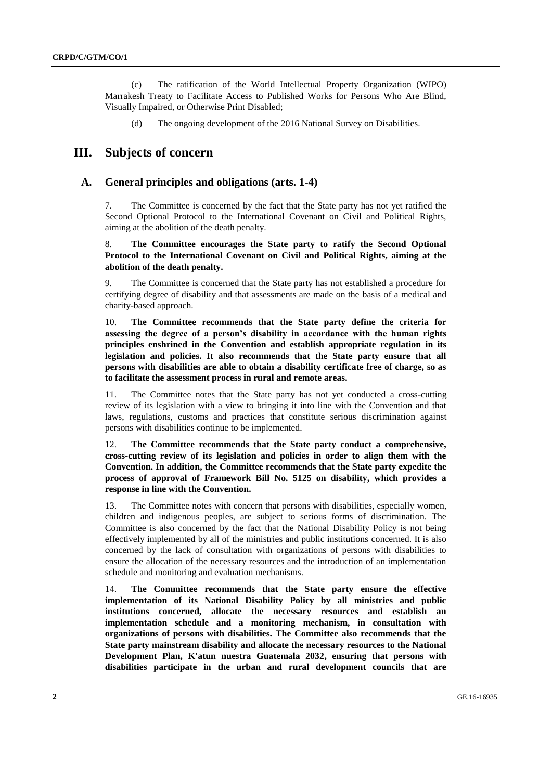(c) The ratification of the World Intellectual Property Organization (WIPO) Marrakesh Treaty to Facilitate Access to Published Works for Persons Who Are Blind, Visually Impaired, or Otherwise Print Disabled;

(d) The ongoing development of the 2016 National Survey on Disabilities.

# **III. Subjects of concern**

# **A. General principles and obligations (arts. 1-4)**

7. The Committee is concerned by the fact that the State party has not yet ratified the Second Optional Protocol to the International Covenant on Civil and Political Rights, aiming at the abolition of the death penalty.

8. **The Committee encourages the State party to ratify the Second Optional Protocol to the International Covenant on Civil and Political Rights, aiming at the abolition of the death penalty.**

9. The Committee is concerned that the State party has not established a procedure for certifying degree of disability and that assessments are made on the basis of a medical and charity-based approach.

10. **The Committee recommends that the State party define the criteria for assessing the degree of a person's disability in accordance with the human rights principles enshrined in the Convention and establish appropriate regulation in its legislation and policies. It also recommends that the State party ensure that all persons with disabilities are able to obtain a disability certificate free of charge, so as to facilitate the assessment process in rural and remote areas.**

11. The Committee notes that the State party has not yet conducted a cross-cutting review of its legislation with a view to bringing it into line with the Convention and that laws, regulations, customs and practices that constitute serious discrimination against persons with disabilities continue to be implemented.

12. **The Committee recommends that the State party conduct a comprehensive, cross-cutting review of its legislation and policies in order to align them with the Convention. In addition, the Committee recommends that the State party expedite the process of approval of Framework Bill No. 5125 on disability, which provides a response in line with the Convention.**

13. The Committee notes with concern that persons with disabilities, especially women, children and indigenous peoples, are subject to serious forms of discrimination. The Committee is also concerned by the fact that the National Disability Policy is not being effectively implemented by all of the ministries and public institutions concerned. It is also concerned by the lack of consultation with organizations of persons with disabilities to ensure the allocation of the necessary resources and the introduction of an implementation schedule and monitoring and evaluation mechanisms.

14. **The Committee recommends that the State party ensure the effective implementation of its National Disability Policy by all ministries and public institutions concerned, allocate the necessary resources and establish an implementation schedule and a monitoring mechanism, in consultation with organizations of persons with disabilities. The Committee also recommends that the State party mainstream disability and allocate the necessary resources to the National Development Plan, K'atun nuestra Guatemala 2032, ensuring that persons with disabilities participate in the urban and rural development councils that are**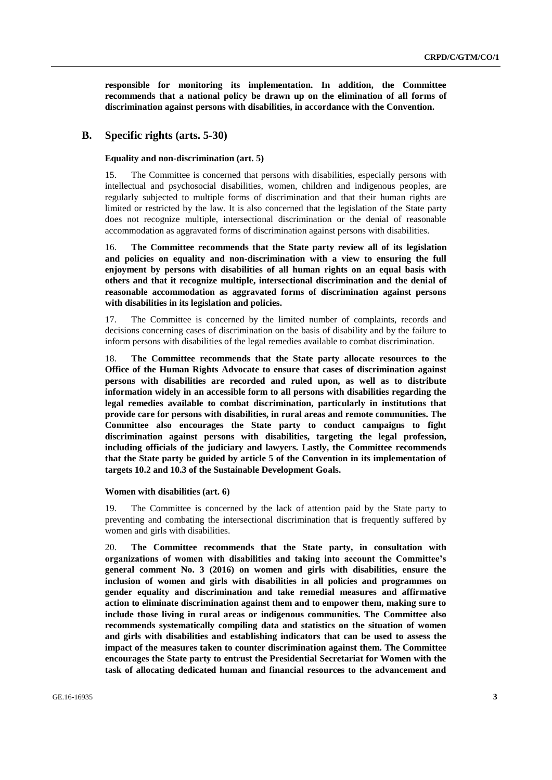**responsible for monitoring its implementation. In addition, the Committee recommends that a national policy be drawn up on the elimination of all forms of discrimination against persons with disabilities, in accordance with the Convention.** 

## **B. Specific rights (arts. 5-30)**

#### **Equality and non-discrimination (art. 5)**

15. The Committee is concerned that persons with disabilities, especially persons with intellectual and psychosocial disabilities, women, children and indigenous peoples, are regularly subjected to multiple forms of discrimination and that their human rights are limited or restricted by the law. It is also concerned that the legislation of the State party does not recognize multiple, intersectional discrimination or the denial of reasonable accommodation as aggravated forms of discrimination against persons with disabilities.

16. **The Committee recommends that the State party review all of its legislation and policies on equality and non-discrimination with a view to ensuring the full enjoyment by persons with disabilities of all human rights on an equal basis with others and that it recognize multiple, intersectional discrimination and the denial of reasonable accommodation as aggravated forms of discrimination against persons with disabilities in its legislation and policies.** 

17. The Committee is concerned by the limited number of complaints, records and decisions concerning cases of discrimination on the basis of disability and by the failure to inform persons with disabilities of the legal remedies available to combat discrimination.

18. **The Committee recommends that the State party allocate resources to the Office of the Human Rights Advocate to ensure that cases of discrimination against persons with disabilities are recorded and ruled upon, as well as to distribute information widely in an accessible form to all persons with disabilities regarding the legal remedies available to combat discrimination, particularly in institutions that provide care for persons with disabilities, in rural areas and remote communities. The Committee also encourages the State party to conduct campaigns to fight discrimination against persons with disabilities, targeting the legal profession, including officials of the judiciary and lawyers. Lastly, the Committee recommends that the State party be guided by article 5 of the Convention in its implementation of targets 10.2 and 10.3 of the Sustainable Development Goals.**

## **Women with disabilities (art. 6)**

19. The Committee is concerned by the lack of attention paid by the State party to preventing and combating the intersectional discrimination that is frequently suffered by women and girls with disabilities.

20. **The Committee recommends that the State party, in consultation with organizations of women with disabilities and taking into account the Committee's general comment No. 3 (2016) on women and girls with disabilities, ensure the inclusion of women and girls with disabilities in all policies and programmes on gender equality and discrimination and take remedial measures and affirmative action to eliminate discrimination against them and to empower them, making sure to include those living in rural areas or indigenous communities. The Committee also recommends systematically compiling data and statistics on the situation of women and girls with disabilities and establishing indicators that can be used to assess the impact of the measures taken to counter discrimination against them. The Committee encourages the State party to entrust the Presidential Secretariat for Women with the task of allocating dedicated human and financial resources to the advancement and**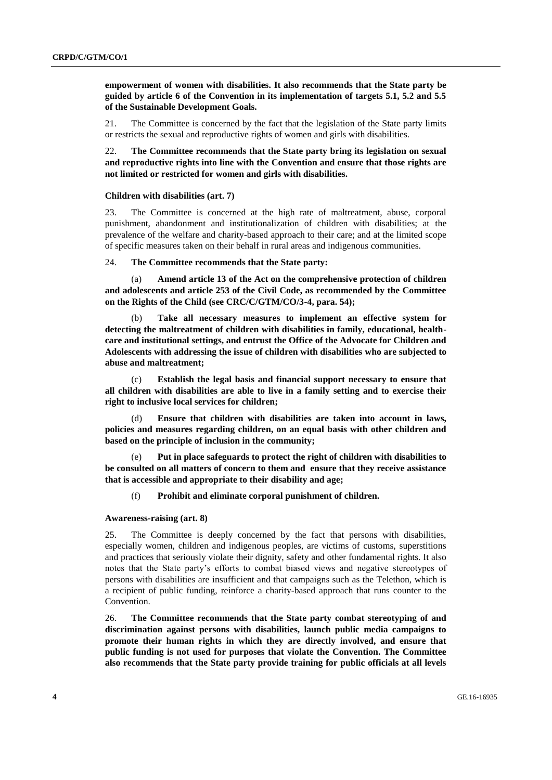**empowerment of women with disabilities. It also recommends that the State party be guided by article 6 of the Convention in its implementation of targets 5.1, 5.2 and 5.5 of the Sustainable Development Goals.**

21. The Committee is concerned by the fact that the legislation of the State party limits or restricts the sexual and reproductive rights of women and girls with disabilities.

22. **The Committee recommends that the State party bring its legislation on sexual and reproductive rights into line with the Convention and ensure that those rights are not limited or restricted for women and girls with disabilities.** 

#### **Children with disabilities (art. 7)**

23. The Committee is concerned at the high rate of maltreatment, abuse, corporal punishment, abandonment and institutionalization of children with disabilities; at the prevalence of the welfare and charity-based approach to their care; and at the limited scope of specific measures taken on their behalf in rural areas and indigenous communities.

24. **The Committee recommends that the State party:**

(a) **Amend article 13 of the Act on the comprehensive protection of children and adolescents and article 253 of the Civil Code, as recommended by the Committee on the Rights of the Child (see CRC/C/GTM/CO/3-4, para. 54);** 

(b) **Take all necessary measures to implement an effective system for detecting the maltreatment of children with disabilities in family, educational, healthcare and institutional settings, and entrust the Office of the Advocate for Children and Adolescents with addressing the issue of children with disabilities who are subjected to abuse and maltreatment;**

(c) **Establish the legal basis and financial support necessary to ensure that all children with disabilities are able to live in a family setting and to exercise their right to inclusive local services for children;**

(d) **Ensure that children with disabilities are taken into account in laws, policies and measures regarding children, on an equal basis with other children and based on the principle of inclusion in the community;**

(e) **Put in place safeguards to protect the right of children with disabilities to be consulted on all matters of concern to them and ensure that they receive assistance that is accessible and appropriate to their disability and age;**

(f) **Prohibit and eliminate corporal punishment of children.** 

**Awareness-raising (art. 8)**

25. The Committee is deeply concerned by the fact that persons with disabilities, especially women, children and indigenous peoples, are victims of customs, superstitions and practices that seriously violate their dignity, safety and other fundamental rights. It also notes that the State party's efforts to combat biased views and negative stereotypes of persons with disabilities are insufficient and that campaigns such as the Telethon, which is a recipient of public funding, reinforce a charity-based approach that runs counter to the Convention.

26. **The Committee recommends that the State party combat stereotyping of and discrimination against persons with disabilities, launch public media campaigns to promote their human rights in which they are directly involved, and ensure that public funding is not used for purposes that violate the Convention. The Committee also recommends that the State party provide training for public officials at all levels**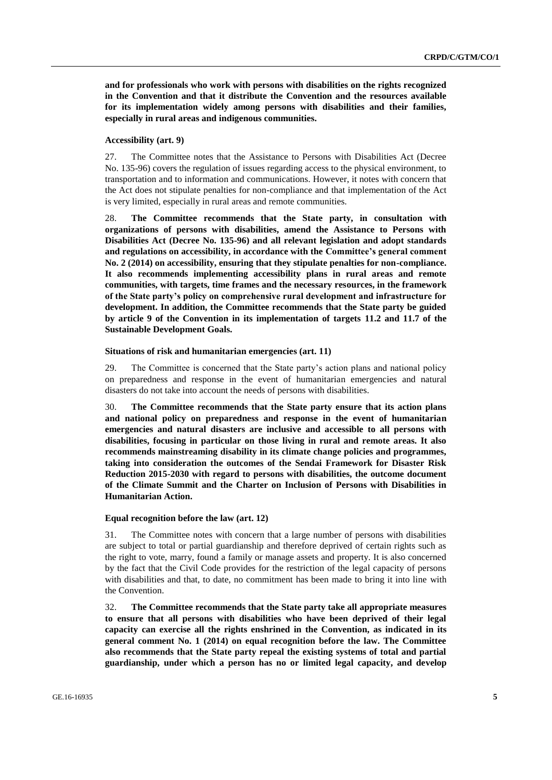**and for professionals who work with persons with disabilities on the rights recognized in the Convention and that it distribute the Convention and the resources available for its implementation widely among persons with disabilities and their families, especially in rural areas and indigenous communities.**

#### **Accessibility (art. 9)**

27. The Committee notes that the Assistance to Persons with Disabilities Act (Decree No. 135-96) covers the regulation of issues regarding access to the physical environment, to transportation and to information and communications. However, it notes with concern that the Act does not stipulate penalties for non-compliance and that implementation of the Act is very limited, especially in rural areas and remote communities.

28. **The Committee recommends that the State party, in consultation with organizations of persons with disabilities, amend the Assistance to Persons with Disabilities Act (Decree No. 135-96) and all relevant legislation and adopt standards and regulations on accessibility, in accordance with the Committee's general comment No. 2 (2014) on accessibility, ensuring that they stipulate penalties for non-compliance. It also recommends implementing accessibility plans in rural areas and remote communities, with targets, time frames and the necessary resources, in the framework of the State party's policy on comprehensive rural development and infrastructure for development. In addition, the Committee recommends that the State party be guided by article 9 of the Convention in its implementation of targets 11.2 and 11.7 of the Sustainable Development Goals.**

#### **Situations of risk and humanitarian emergencies (art. 11)**

29. The Committee is concerned that the State party's action plans and national policy on preparedness and response in the event of humanitarian emergencies and natural disasters do not take into account the needs of persons with disabilities.

30. **The Committee recommends that the State party ensure that its action plans and national policy on preparedness and response in the event of humanitarian emergencies and natural disasters are inclusive and accessible to all persons with disabilities, focusing in particular on those living in rural and remote areas. It also recommends mainstreaming disability in its climate change policies and programmes, taking into consideration the outcomes of the Sendai Framework for Disaster Risk Reduction 2015-2030 with regard to persons with disabilities, the outcome document of the Climate Summit and the Charter on Inclusion of Persons with Disabilities in Humanitarian Action.** 

#### **Equal recognition before the law (art. 12)**

31. The Committee notes with concern that a large number of persons with disabilities are subject to total or partial guardianship and therefore deprived of certain rights such as the right to vote, marry, found a family or manage assets and property. It is also concerned by the fact that the Civil Code provides for the restriction of the legal capacity of persons with disabilities and that, to date, no commitment has been made to bring it into line with the Convention.

32. **The Committee recommends that the State party take all appropriate measures to ensure that all persons with disabilities who have been deprived of their legal capacity can exercise all the rights enshrined in the Convention, as indicated in its general comment No. 1 (2014) on equal recognition before the law. The Committee also recommends that the State party repeal the existing systems of total and partial guardianship, under which a person has no or limited legal capacity, and develop**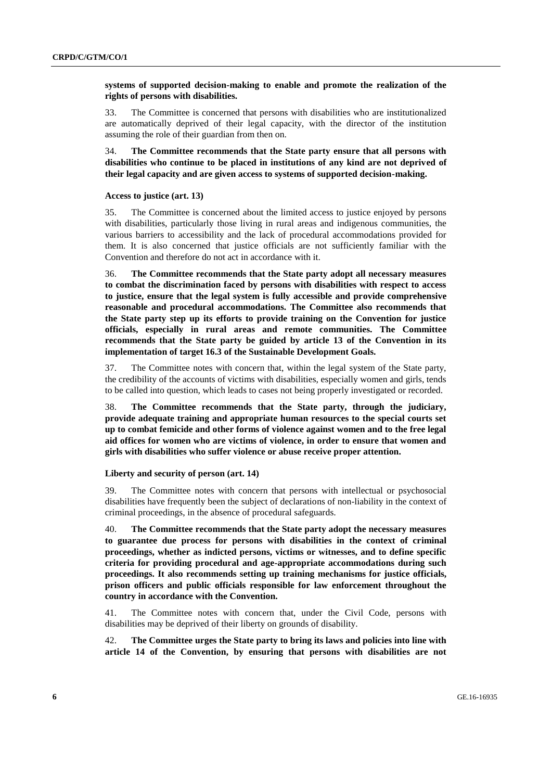## **systems of supported decision-making to enable and promote the realization of the rights of persons with disabilities.**

33. The Committee is concerned that persons with disabilities who are institutionalized are automatically deprived of their legal capacity, with the director of the institution assuming the role of their guardian from then on.

34. **The Committee recommends that the State party ensure that all persons with disabilities who continue to be placed in institutions of any kind are not deprived of their legal capacity and are given access to systems of supported decision-making.**

#### **Access to justice (art. 13)**

35. The Committee is concerned about the limited access to justice enjoyed by persons with disabilities, particularly those living in rural areas and indigenous communities, the various barriers to accessibility and the lack of procedural accommodations provided for them. It is also concerned that justice officials are not sufficiently familiar with the Convention and therefore do not act in accordance with it.

36. **The Committee recommends that the State party adopt all necessary measures to combat the discrimination faced by persons with disabilities with respect to access to justice, ensure that the legal system is fully accessible and provide comprehensive reasonable and procedural accommodations. The Committee also recommends that the State party step up its efforts to provide training on the Convention for justice officials, especially in rural areas and remote communities. The Committee recommends that the State party be guided by article 13 of the Convention in its implementation of target 16.3 of the Sustainable Development Goals.**

37. The Committee notes with concern that, within the legal system of the State party, the credibility of the accounts of victims with disabilities, especially women and girls, tends to be called into question, which leads to cases not being properly investigated or recorded.

38. **The Committee recommends that the State party, through the judiciary, provide adequate training and appropriate human resources to the special courts set up to combat femicide and other forms of violence against women and to the free legal aid offices for women who are victims of violence, in order to ensure that women and girls with disabilities who suffer violence or abuse receive proper attention.**

#### **Liberty and security of person (art. 14)**

39. The Committee notes with concern that persons with intellectual or psychosocial disabilities have frequently been the subject of declarations of non-liability in the context of criminal proceedings, in the absence of procedural safeguards.

40. **The Committee recommends that the State party adopt the necessary measures to guarantee due process for persons with disabilities in the context of criminal proceedings, whether as indicted persons, victims or witnesses, and to define specific criteria for providing procedural and age-appropriate accommodations during such proceedings. It also recommends setting up training mechanisms for justice officials, prison officers and public officials responsible for law enforcement throughout the country in accordance with the Convention.**

41. The Committee notes with concern that, under the Civil Code, persons with disabilities may be deprived of their liberty on grounds of disability.

42. **The Committee urges the State party to bring its laws and policies into line with article 14 of the Convention, by ensuring that persons with disabilities are not**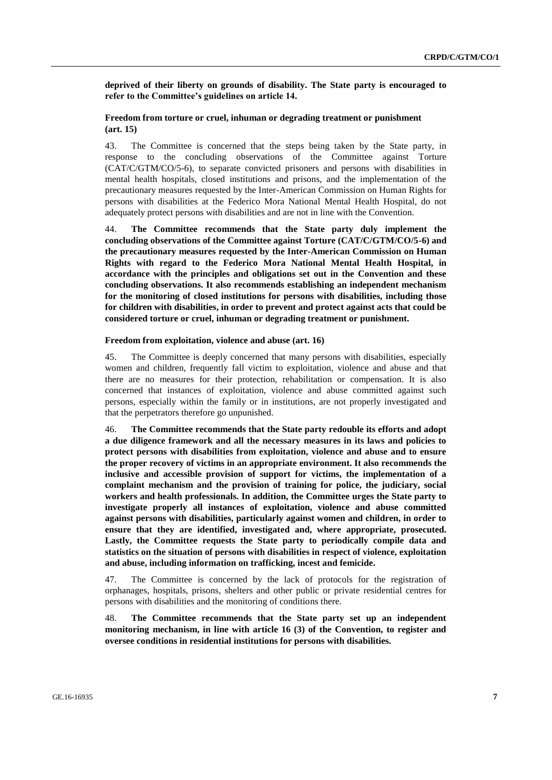**deprived of their liberty on grounds of disability. The State party is encouraged to refer to the Committee's guidelines on article 14.**

# **Freedom from torture or cruel, inhuman or degrading treatment or punishment (art. 15)**

43. The Committee is concerned that the steps being taken by the State party, in response to the concluding observations of the Committee against Torture (CAT/C/GTM/CO/5-6), to separate convicted prisoners and persons with disabilities in mental health hospitals, closed institutions and prisons, and the implementation of the precautionary measures requested by the Inter-American Commission on Human Rights for persons with disabilities at the Federico Mora National Mental Health Hospital, do not adequately protect persons with disabilities and are not in line with the Convention.

44. **The Committee recommends that the State party duly implement the concluding observations of the Committee against Torture (CAT/C/GTM/CO/5-6) and the precautionary measures requested by the Inter-American Commission on Human Rights with regard to the Federico Mora National Mental Health Hospital, in accordance with the principles and obligations set out in the Convention and these concluding observations. It also recommends establishing an independent mechanism for the monitoring of closed institutions for persons with disabilities, including those for children with disabilities, in order to prevent and protect against acts that could be considered torture or cruel, inhuman or degrading treatment or punishment.**

#### **Freedom from exploitation, violence and abuse (art. 16)**

45. The Committee is deeply concerned that many persons with disabilities, especially women and children, frequently fall victim to exploitation, violence and abuse and that there are no measures for their protection, rehabilitation or compensation. It is also concerned that instances of exploitation, violence and abuse committed against such persons, especially within the family or in institutions, are not properly investigated and that the perpetrators therefore go unpunished.

46. **The Committee recommends that the State party redouble its efforts and adopt a due diligence framework and all the necessary measures in its laws and policies to protect persons with disabilities from exploitation, violence and abuse and to ensure the proper recovery of victims in an appropriate environment. It also recommends the inclusive and accessible provision of support for victims, the implementation of a complaint mechanism and the provision of training for police, the judiciary, social workers and health professionals. In addition, the Committee urges the State party to investigate properly all instances of exploitation, violence and abuse committed against persons with disabilities, particularly against women and children, in order to ensure that they are identified, investigated and, where appropriate, prosecuted. Lastly, the Committee requests the State party to periodically compile data and statistics on the situation of persons with disabilities in respect of violence, exploitation and abuse, including information on trafficking, incest and femicide.**

47. The Committee is concerned by the lack of protocols for the registration of orphanages, hospitals, prisons, shelters and other public or private residential centres for persons with disabilities and the monitoring of conditions there.

48. **The Committee recommends that the State party set up an independent monitoring mechanism, in line with article 16 (3) of the Convention, to register and oversee conditions in residential institutions for persons with disabilities.**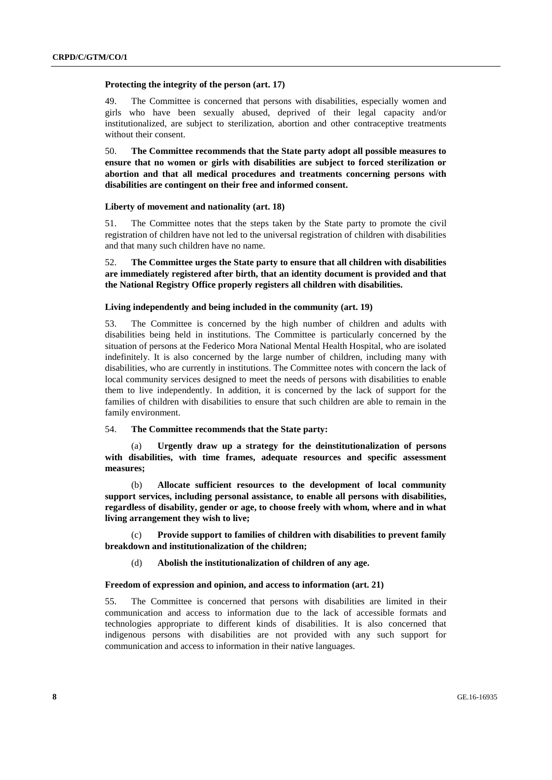#### **Protecting the integrity of the person (art. 17)**

49. The Committee is concerned that persons with disabilities, especially women and girls who have been sexually abused, deprived of their legal capacity and/or institutionalized, are subject to sterilization, abortion and other contraceptive treatments without their consent.

50. **The Committee recommends that the State party adopt all possible measures to ensure that no women or girls with disabilities are subject to forced sterilization or abortion and that all medical procedures and treatments concerning persons with disabilities are contingent on their free and informed consent.**

#### **Liberty of movement and nationality (art. 18)**

51. The Committee notes that the steps taken by the State party to promote the civil registration of children have not led to the universal registration of children with disabilities and that many such children have no name.

52. **The Committee urges the State party to ensure that all children with disabilities are immediately registered after birth, that an identity document is provided and that the National Registry Office properly registers all children with disabilities.** 

#### **Living independently and being included in the community (art. 19)**

53. The Committee is concerned by the high number of children and adults with disabilities being held in institutions. The Committee is particularly concerned by the situation of persons at the Federico Mora National Mental Health Hospital, who are isolated indefinitely. It is also concerned by the large number of children, including many with disabilities, who are currently in institutions. The Committee notes with concern the lack of local community services designed to meet the needs of persons with disabilities to enable them to live independently. In addition, it is concerned by the lack of support for the families of children with disabilities to ensure that such children are able to remain in the family environment.

#### 54. **The Committee recommends that the State party:**

(a) **Urgently draw up a strategy for the deinstitutionalization of persons with disabilities, with time frames, adequate resources and specific assessment measures;**

(b) **Allocate sufficient resources to the development of local community support services, including personal assistance, to enable all persons with disabilities, regardless of disability, gender or age, to choose freely with whom, where and in what living arrangement they wish to live;**

Provide support to families of children with disabilities to prevent family **breakdown and institutionalization of the children;**

(d) **Abolish the institutionalization of children of any age.**

## **Freedom of expression and opinion, and access to information (art. 21)**

55. The Committee is concerned that persons with disabilities are limited in their communication and access to information due to the lack of accessible formats and technologies appropriate to different kinds of disabilities. It is also concerned that indigenous persons with disabilities are not provided with any such support for communication and access to information in their native languages.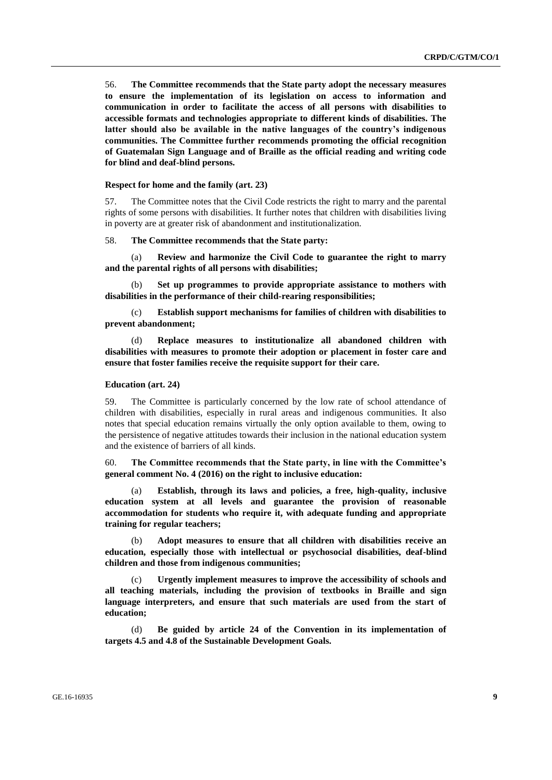56. **The Committee recommends that the State party adopt the necessary measures to ensure the implementation of its legislation on access to information and communication in order to facilitate the access of all persons with disabilities to accessible formats and technologies appropriate to different kinds of disabilities. The latter should also be available in the native languages of the country's indigenous communities. The Committee further recommends promoting the official recognition of Guatemalan Sign Language and of Braille as the official reading and writing code for blind and deaf-blind persons.**

#### **Respect for home and the family (art. 23)**

57. The Committee notes that the Civil Code restricts the right to marry and the parental rights of some persons with disabilities. It further notes that children with disabilities living in poverty are at greater risk of abandonment and institutionalization.

58. **The Committee recommends that the State party:**

(a) **Review and harmonize the Civil Code to guarantee the right to marry and the parental rights of all persons with disabilities;**

Set up programmes to provide appropriate assistance to mothers with **disabilities in the performance of their child-rearing responsibilities;** 

(c) **Establish support mechanisms for families of children with disabilities to prevent abandonment;**

(d) **Replace measures to institutionalize all abandoned children with disabilities with measures to promote their adoption or placement in foster care and ensure that foster families receive the requisite support for their care.** 

#### **Education (art. 24)**

59. The Committee is particularly concerned by the low rate of school attendance of children with disabilities, especially in rural areas and indigenous communities. It also notes that special education remains virtually the only option available to them, owing to the persistence of negative attitudes towards their inclusion in the national education system and the existence of barriers of all kinds.

60. **The Committee recommends that the State party, in line with the Committee's general comment No. 4 (2016) on the right to inclusive education:**

(a) **Establish, through its laws and policies, a free, high-quality, inclusive education system at all levels and guarantee the provision of reasonable accommodation for students who require it, with adequate funding and appropriate training for regular teachers;**

(b) **Adopt measures to ensure that all children with disabilities receive an education, especially those with intellectual or psychosocial disabilities, deaf-blind children and those from indigenous communities;**

Urgently implement measures to improve the accessibility of schools and **all teaching materials, including the provision of textbooks in Braille and sign language interpreters, and ensure that such materials are used from the start of education;**

(d) **Be guided by article 24 of the Convention in its implementation of targets 4.5 and 4.8 of the Sustainable Development Goals.**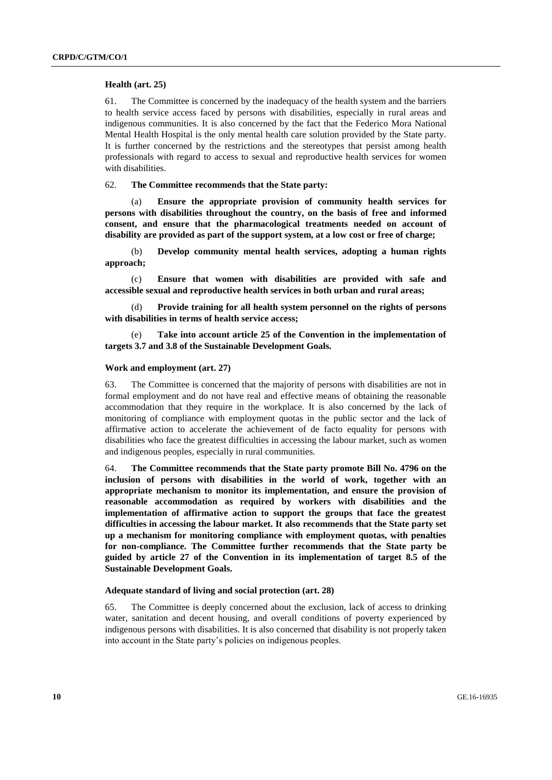#### **Health (art. 25)**

61. The Committee is concerned by the inadequacy of the health system and the barriers to health service access faced by persons with disabilities, especially in rural areas and indigenous communities. It is also concerned by the fact that the Federico Mora National Mental Health Hospital is the only mental health care solution provided by the State party. It is further concerned by the restrictions and the stereotypes that persist among health professionals with regard to access to sexual and reproductive health services for women with disabilities.

62. **The Committee recommends that the State party:**

(a) **Ensure the appropriate provision of community health services for persons with disabilities throughout the country, on the basis of free and informed consent, and ensure that the pharmacological treatments needed on account of disability are provided as part of the support system, at a low cost or free of charge;**

(b) **Develop community mental health services, adopting a human rights approach;**

(c) **Ensure that women with disabilities are provided with safe and accessible sexual and reproductive health services in both urban and rural areas;**

(d) **Provide training for all health system personnel on the rights of persons with disabilities in terms of health service access;**

(e) **Take into account article 25 of the Convention in the implementation of targets 3.7 and 3.8 of the Sustainable Development Goals.**

#### **Work and employment (art. 27)**

63. The Committee is concerned that the majority of persons with disabilities are not in formal employment and do not have real and effective means of obtaining the reasonable accommodation that they require in the workplace. It is also concerned by the lack of monitoring of compliance with employment quotas in the public sector and the lack of affirmative action to accelerate the achievement of de facto equality for persons with disabilities who face the greatest difficulties in accessing the labour market, such as women and indigenous peoples, especially in rural communities.

64. **The Committee recommends that the State party promote Bill No. 4796 on the inclusion of persons with disabilities in the world of work, together with an appropriate mechanism to monitor its implementation, and ensure the provision of reasonable accommodation as required by workers with disabilities and the implementation of affirmative action to support the groups that face the greatest difficulties in accessing the labour market. It also recommends that the State party set up a mechanism for monitoring compliance with employment quotas, with penalties for non-compliance. The Committee further recommends that the State party be guided by article 27 of the Convention in its implementation of target 8.5 of the Sustainable Development Goals.**

### **Adequate standard of living and social protection (art. 28)**

65. The Committee is deeply concerned about the exclusion, lack of access to drinking water, sanitation and decent housing, and overall conditions of poverty experienced by indigenous persons with disabilities. It is also concerned that disability is not properly taken into account in the State party's policies on indigenous peoples.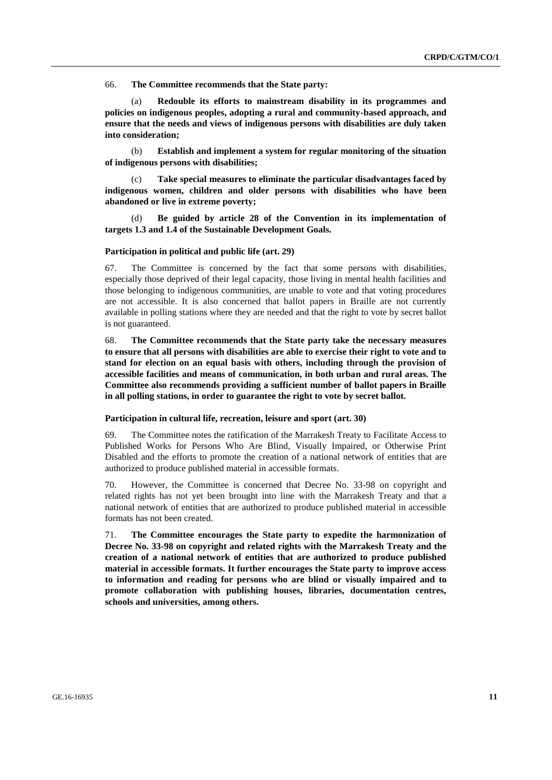66. **The Committee recommends that the State party:**

Redouble its efforts to mainstream disability in its programmes and **policies on indigenous peoples, adopting a rural and community-based approach, and ensure that the needs and views of indigenous persons with disabilities are duly taken into consideration;**

(b) **Establish and implement a system for regular monitoring of the situation of indigenous persons with disabilities;**

Take special measures to eliminate the particular disadvantages faced by **indigenous women, children and older persons with disabilities who have been abandoned or live in extreme poverty;** 

(d) **Be guided by article 28 of the Convention in its implementation of targets 1.3 and 1.4 of the Sustainable Development Goals.**

#### **Participation in political and public life (art. 29)**

67. The Committee is concerned by the fact that some persons with disabilities, especially those deprived of their legal capacity, those living in mental health facilities and those belonging to indigenous communities, are unable to vote and that voting procedures are not accessible. It is also concerned that ballot papers in Braille are not currently available in polling stations where they are needed and that the right to vote by secret ballot is not guaranteed.

68. **The Committee recommends that the State party take the necessary measures to ensure that all persons with disabilities are able to exercise their right to vote and to stand for election on an equal basis with others, including through the provision of accessible facilities and means of communication, in both urban and rural areas. The Committee also recommends providing a sufficient number of ballot papers in Braille in all polling stations, in order to guarantee the right to vote by secret ballot.** 

#### **Participation in cultural life, recreation, leisure and sport (art. 30)**

69. The Committee notes the ratification of the Marrakesh Treaty to Facilitate Access to Published Works for Persons Who Are Blind, Visually Impaired, or Otherwise Print Disabled and the efforts to promote the creation of a national network of entities that are authorized to produce published material in accessible formats.

70. However, the Committee is concerned that Decree No. 33-98 on copyright and related rights has not yet been brought into line with the Marrakesh Treaty and that a national network of entities that are authorized to produce published material in accessible formats has not been created.

71. **The Committee encourages the State party to expedite the harmonization of Decree No. 33-98 on copyright and related rights with the Marrakesh Treaty and the creation of a national network of entities that are authorized to produce published material in accessible formats. It further encourages the State party to improve access to information and reading for persons who are blind or visually impaired and to promote collaboration with publishing houses, libraries, documentation centres, schools and universities, among others.**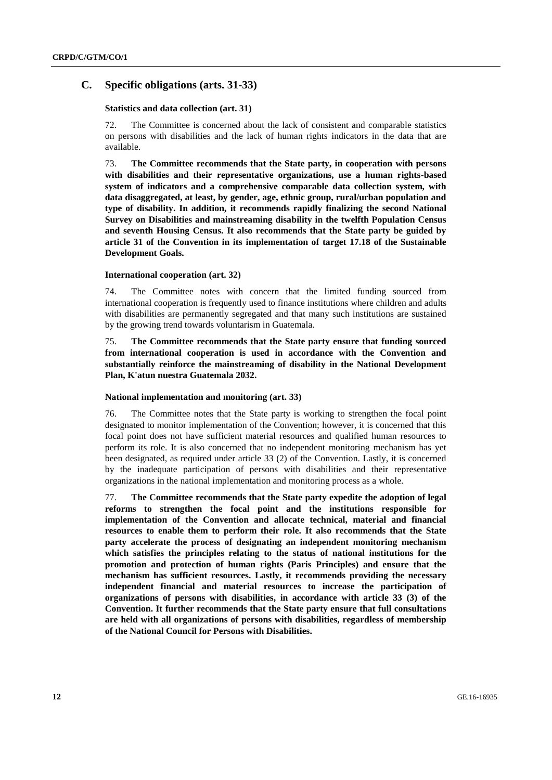# **C. Specific obligations (arts. 31-33)**

## **Statistics and data collection (art. 31)**

The Committee is concerned about the lack of consistent and comparable statistics on persons with disabilities and the lack of human rights indicators in the data that are available.

73. **The Committee recommends that the State party, in cooperation with persons with disabilities and their representative organizations, use a human rights-based system of indicators and a comprehensive comparable data collection system, with data disaggregated, at least, by gender, age, ethnic group, rural/urban population and type of disability. In addition, it recommends rapidly finalizing the second National Survey on Disabilities and mainstreaming disability in the twelfth Population Census and seventh Housing Census. It also recommends that the State party be guided by article 31 of the Convention in its implementation of target 17.18 of the Sustainable Development Goals.** 

### **International cooperation (art. 32)**

74. The Committee notes with concern that the limited funding sourced from international cooperation is frequently used to finance institutions where children and adults with disabilities are permanently segregated and that many such institutions are sustained by the growing trend towards voluntarism in Guatemala.

75. **The Committee recommends that the State party ensure that funding sourced from international cooperation is used in accordance with the Convention and substantially reinforce the mainstreaming of disability in the National Development Plan, K'atun nuestra Guatemala 2032.**

### **National implementation and monitoring (art. 33)**

76. The Committee notes that the State party is working to strengthen the focal point designated to monitor implementation of the Convention; however, it is concerned that this focal point does not have sufficient material resources and qualified human resources to perform its role. It is also concerned that no independent monitoring mechanism has yet been designated, as required under article 33 (2) of the Convention. Lastly, it is concerned by the inadequate participation of persons with disabilities and their representative organizations in the national implementation and monitoring process as a whole.

77. **The Committee recommends that the State party expedite the adoption of legal reforms to strengthen the focal point and the institutions responsible for implementation of the Convention and allocate technical, material and financial resources to enable them to perform their role. It also recommends that the State party accelerate the process of designating an independent monitoring mechanism which satisfies the principles relating to the status of national institutions for the promotion and protection of human rights (Paris Principles) and ensure that the mechanism has sufficient resources. Lastly, it recommends providing the necessary independent financial and material resources to increase the participation of organizations of persons with disabilities, in accordance with article 33 (3) of the Convention. It further recommends that the State party ensure that full consultations are held with all organizations of persons with disabilities, regardless of membership of the National Council for Persons with Disabilities.**